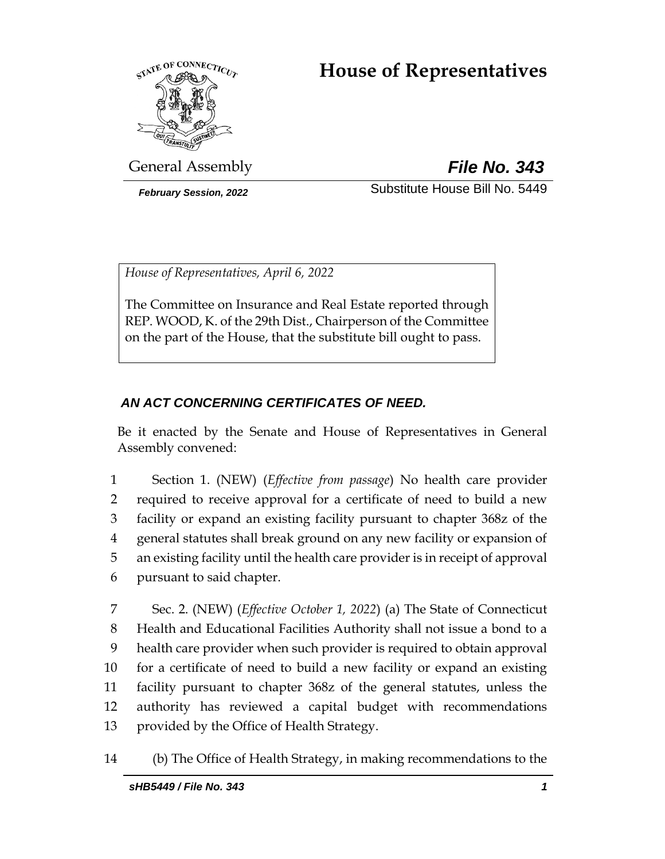# **House of Representatives**



General Assembly *File No. 343*

*February Session, 2022* Substitute House Bill No. 5449

*House of Representatives, April 6, 2022*

The Committee on Insurance and Real Estate reported through REP. WOOD, K. of the 29th Dist., Chairperson of the Committee on the part of the House, that the substitute bill ought to pass.

# *AN ACT CONCERNING CERTIFICATES OF NEED.*

Be it enacted by the Senate and House of Representatives in General Assembly convened:

 Section 1. (NEW) (*Effective from passage*) No health care provider required to receive approval for a certificate of need to build a new facility or expand an existing facility pursuant to chapter 368z of the general statutes shall break ground on any new facility or expansion of an existing facility until the health care provider is in receipt of approval pursuant to said chapter.

 Sec. 2. (NEW) (*Effective October 1, 2022*) (a) The State of Connecticut Health and Educational Facilities Authority shall not issue a bond to a health care provider when such provider is required to obtain approval for a certificate of need to build a new facility or expand an existing facility pursuant to chapter 368z of the general statutes, unless the authority has reviewed a capital budget with recommendations provided by the Office of Health Strategy.

14 (b) The Office of Health Strategy, in making recommendations to the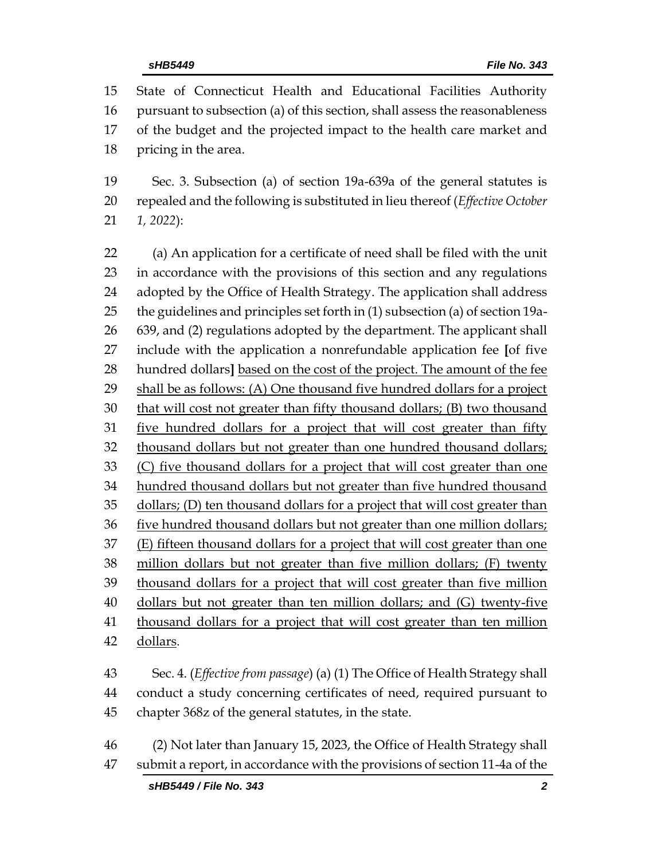State of Connecticut Health and Educational Facilities Authority pursuant to subsection (a) of this section, shall assess the reasonableness of the budget and the projected impact to the health care market and pricing in the area. Sec. 3. Subsection (a) of section 19a-639a of the general statutes is repealed and the following is substituted in lieu thereof (*Effective October 1, 2022*): (a) An application for a certificate of need shall be filed with the unit in accordance with the provisions of this section and any regulations adopted by the Office of Health Strategy. The application shall address the guidelines and principles set forth in (1) subsection (a) of section 19a- 639, and (2) regulations adopted by the department. The applicant shall include with the application a nonrefundable application fee **[**of five hundred dollars**]** based on the cost of the project. The amount of the fee shall be as follows: (A) One thousand five hundred dollars for a project that will cost not greater than fifty thousand dollars; (B) two thousand 31 five hundred dollars for a project that will cost greater than fifty thousand dollars but not greater than one hundred thousand dollars; (C) five thousand dollars for a project that will cost greater than one hundred thousand dollars but not greater than five hundred thousand dollars; (D) ten thousand dollars for a project that will cost greater than five hundred thousand dollars but not greater than one million dollars; (E) fifteen thousand dollars for a project that will cost greater than one million dollars but not greater than five million dollars; (F) twenty 39 thousand dollars for a project that will cost greater than five million dollars but not greater than ten million dollars; and (G) twenty-five thousand dollars for a project that will cost greater than ten million dollars.

 Sec. 4. (*Effective from passage*) (a) (1) The Office of Health Strategy shall conduct a study concerning certificates of need, required pursuant to chapter 368z of the general statutes, in the state.

 (2) Not later than January 15, 2023, the Office of Health Strategy shall submit a report, in accordance with the provisions of section 11-4a of the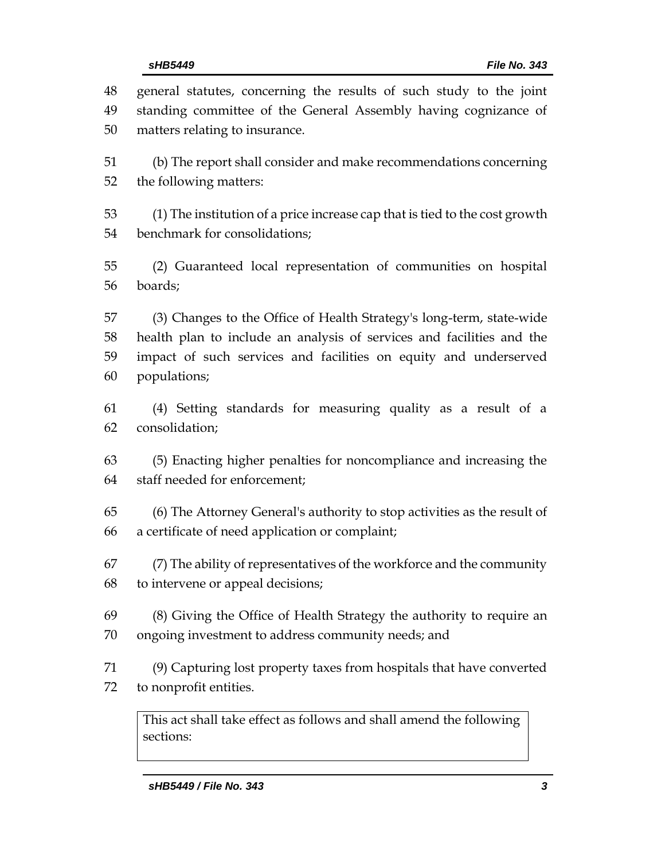| 48 | general statutes, concerning the results of such study to the joint              |  |
|----|----------------------------------------------------------------------------------|--|
| 49 | standing committee of the General Assembly having cognizance of                  |  |
| 50 | matters relating to insurance.                                                   |  |
| 51 | (b) The report shall consider and make recommendations concerning                |  |
| 52 | the following matters:                                                           |  |
| 53 | (1) The institution of a price increase cap that is tied to the cost growth      |  |
| 54 | benchmark for consolidations;                                                    |  |
| 55 | (2) Guaranteed local representation of communities on hospital                   |  |
| 56 | boards;                                                                          |  |
| 57 | (3) Changes to the Office of Health Strategy's long-term, state-wide             |  |
| 58 | health plan to include an analysis of services and facilities and the            |  |
| 59 | impact of such services and facilities on equity and underserved                 |  |
| 60 | populations;                                                                     |  |
| 61 | (4) Setting standards for measuring quality as a result of a                     |  |
| 62 | consolidation;                                                                   |  |
| 63 | (5) Enacting higher penalties for noncompliance and increasing the               |  |
| 64 | staff needed for enforcement;                                                    |  |
| 65 | (6) The Attorney General's authority to stop activities as the result of         |  |
| 66 | a certificate of need application or complaint;                                  |  |
| 67 | (7) The ability of representatives of the workforce and the community            |  |
| 68 | to intervene or appeal decisions;                                                |  |
| 69 | (8) Giving the Office of Health Strategy the authority to require an             |  |
| 70 | ongoing investment to address community needs; and                               |  |
| 71 | (9) Capturing lost property taxes from hospitals that have converted             |  |
| 72 | to nonprofit entities.                                                           |  |
|    | This act shall take effect as follows and shall amend the following<br>sections: |  |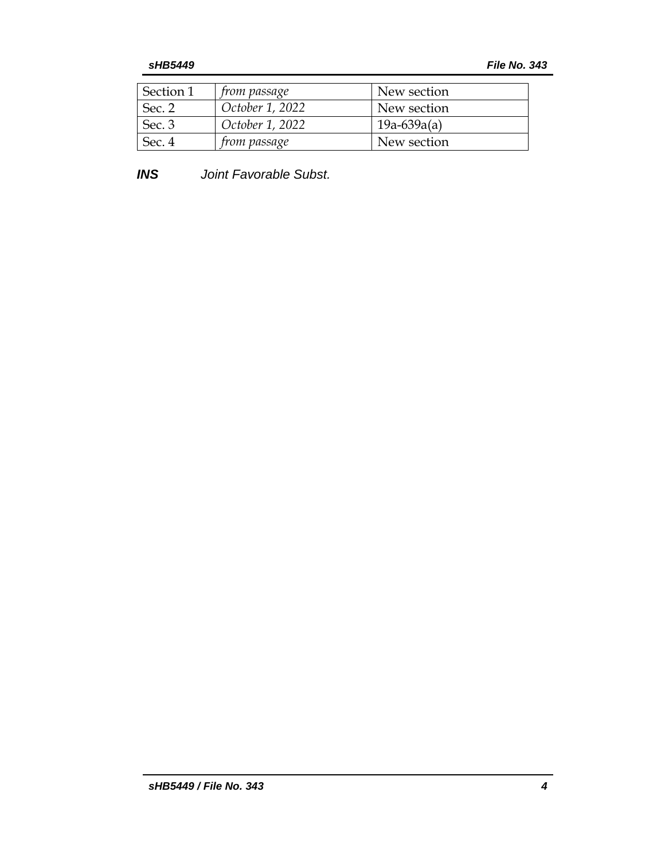| Section 1 | <i>from passage</i> | New section   |
|-----------|---------------------|---------------|
| Sec. 2    | October 1, 2022     | New section   |
| Sec. 3    | October 1, 2022     | $19a-639a(a)$ |
| Sec. 4    | <i>from passage</i> | New section   |

*INS Joint Favorable Subst.*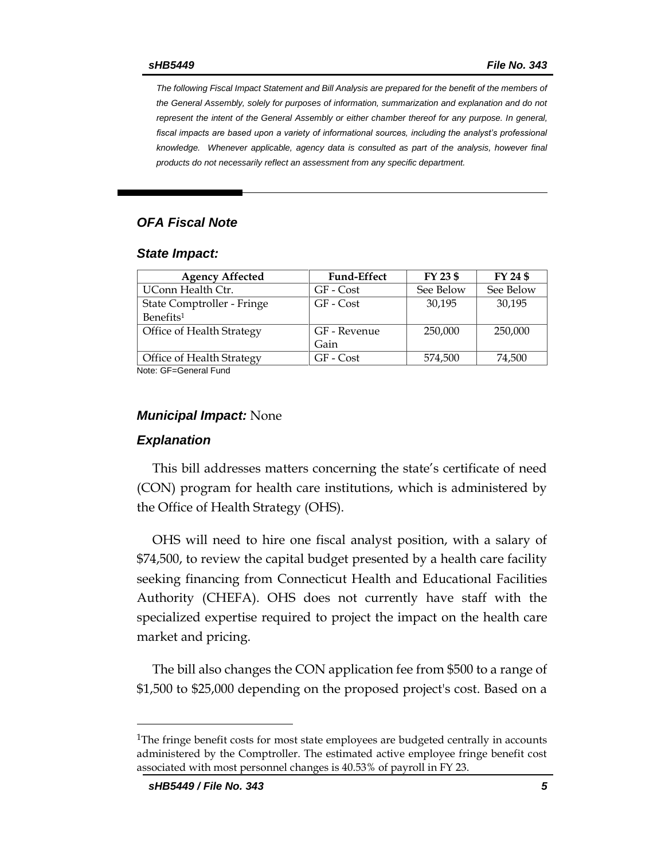*The following Fiscal Impact Statement and Bill Analysis are prepared for the benefit of the members of the General Assembly, solely for purposes of information, summarization and explanation and do not represent the intent of the General Assembly or either chamber thereof for any purpose. In general,*  fiscal impacts are based upon a variety of informational sources, including the analyst's professional *knowledge. Whenever applicable, agency data is consulted as part of the analysis, however final products do not necessarily reflect an assessment from any specific department.*

### *OFA Fiscal Note*

#### *State Impact:*

| <b>Agency Affected</b>           | <b>Fund-Effect</b> | FY 23 \$  | FY 24 \$  |  |  |
|----------------------------------|--------------------|-----------|-----------|--|--|
| UConn Health Ctr.                | GF - Cost          | See Below | See Below |  |  |
| State Comptroller - Fringe       | GF - Cost          | 30,195    | 30,195    |  |  |
| Benefits <sup>1</sup>            |                    |           |           |  |  |
| Office of Health Strategy        | GF - Revenue       | 250,000   | 250,000   |  |  |
|                                  | Gain               |           |           |  |  |
| <b>Office of Health Strategy</b> | GF - Cost          | 574,500   | 74,500    |  |  |
| $M = 1$                          |                    |           |           |  |  |

Note: GF=General Fund

#### *Municipal Impact:* None

#### *Explanation*

This bill addresses matters concerning the state's certificate of need (CON) program for health care institutions, which is administered by the Office of Health Strategy (OHS).

OHS will need to hire one fiscal analyst position, with a salary of \$74,500, to review the capital budget presented by a health care facility seeking financing from Connecticut Health and Educational Facilities Authority (CHEFA). OHS does not currently have staff with the specialized expertise required to project the impact on the health care market and pricing.

The bill also changes the CON application fee from \$500 to a range of \$1,500 to \$25,000 depending on the proposed project's cost. Based on a

<sup>&</sup>lt;sup>1</sup>The fringe benefit costs for most state employees are budgeted centrally in accounts administered by the Comptroller. The estimated active employee fringe benefit cost associated with most personnel changes is 40.53% of payroll in FY 23.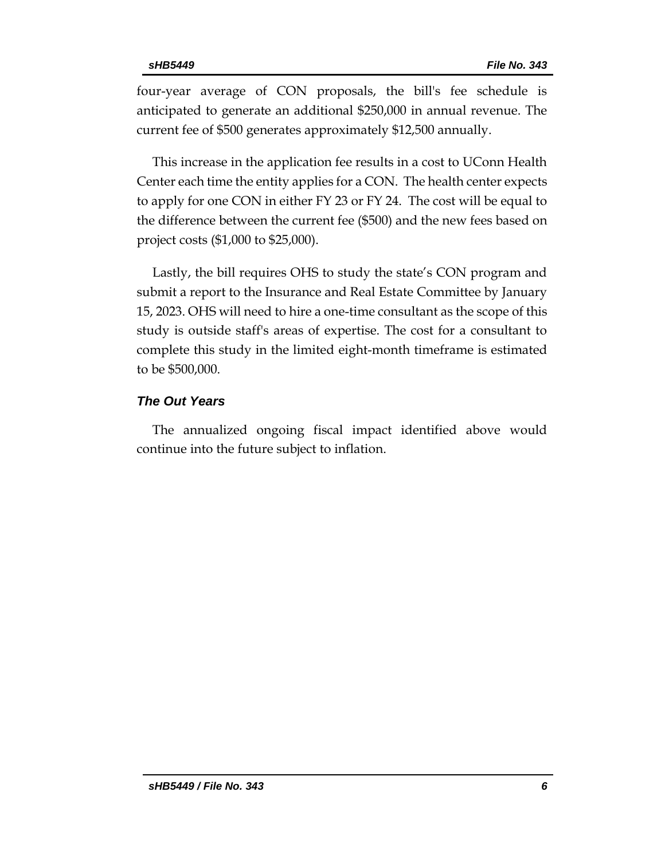four-year average of CON proposals, the bill's fee schedule is anticipated to generate an additional \$250,000 in annual revenue. The current fee of \$500 generates approximately \$12,500 annually.

This increase in the application fee results in a cost to UConn Health Center each time the entity applies for a CON. The health center expects to apply for one CON in either FY 23 or FY 24. The cost will be equal to the difference between the current fee (\$500) and the new fees based on project costs (\$1,000 to \$25,000).

Lastly, the bill requires OHS to study the state's CON program and submit a report to the Insurance and Real Estate Committee by January 15, 2023. OHS will need to hire a one-time consultant as the scope of this study is outside staff's areas of expertise. The cost for a consultant to complete this study in the limited eight-month timeframe is estimated to be \$500,000.

## *The Out Years*

The annualized ongoing fiscal impact identified above would continue into the future subject to inflation.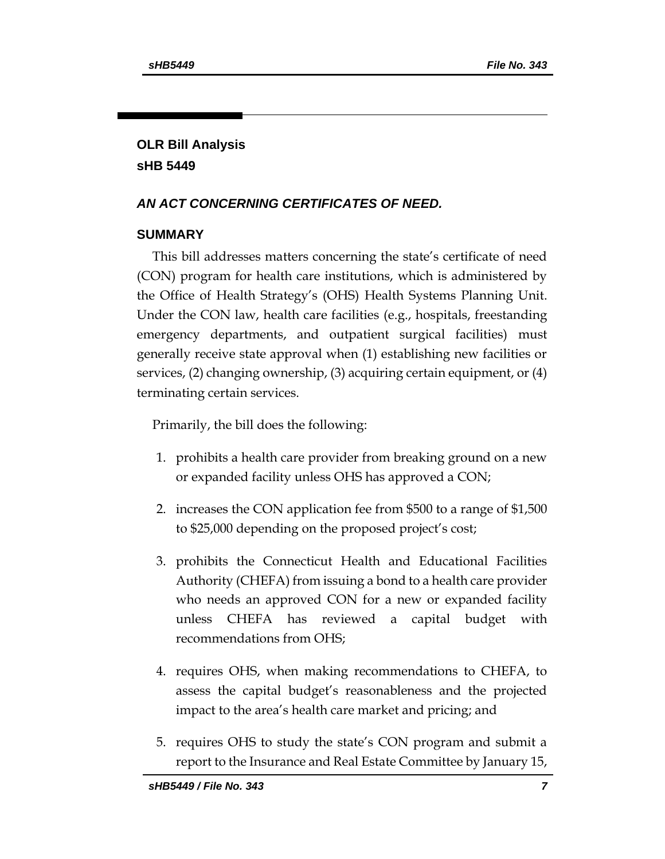# **OLR Bill Analysis sHB 5449**

# *AN ACT CONCERNING CERTIFICATES OF NEED.*

# **SUMMARY**

This bill addresses matters concerning the state's certificate of need (CON) program for health care institutions, which is administered by the Office of Health Strategy's (OHS) Health Systems Planning Unit. Under the CON law, health care facilities (e.g., hospitals, freestanding emergency departments, and outpatient surgical facilities) must generally receive state approval when (1) establishing new facilities or services, (2) changing ownership, (3) acquiring certain equipment, or (4) terminating certain services.

Primarily, the bill does the following:

- 1. prohibits a health care provider from breaking ground on a new or expanded facility unless OHS has approved a CON;
- 2. increases the CON application fee from \$500 to a range of \$1,500 to \$25,000 depending on the proposed project's cost;
- 3. prohibits the Connecticut Health and Educational Facilities Authority (CHEFA) from issuing a bond to a health care provider who needs an approved CON for a new or expanded facility unless CHEFA has reviewed a capital budget with recommendations from OHS;
- 4. requires OHS, when making recommendations to CHEFA, to assess the capital budget's reasonableness and the projected impact to the area's health care market and pricing; and
- 5. requires OHS to study the state's CON program and submit a report to the Insurance and Real Estate Committee by January 15,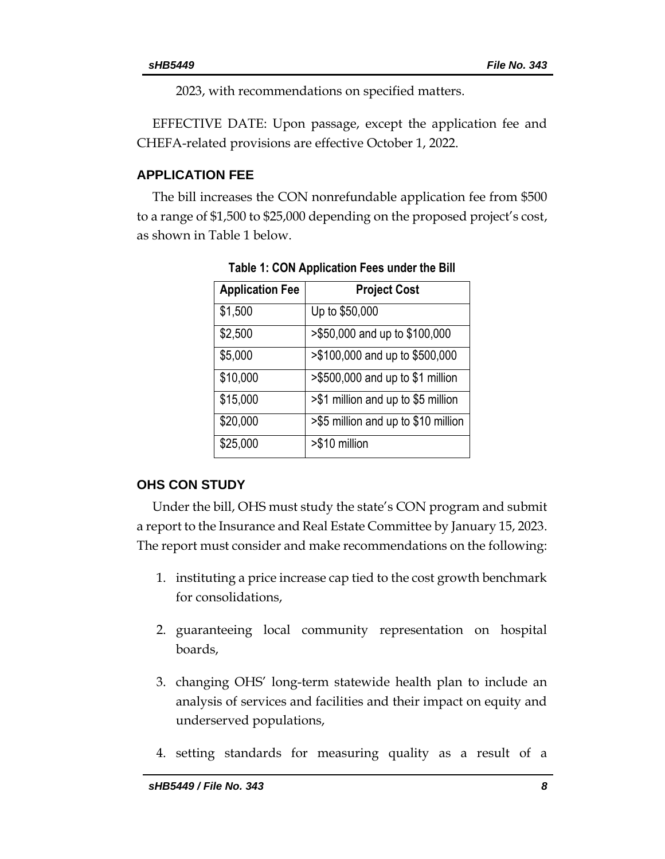2023, with recommendations on specified matters.

EFFECTIVE DATE: Upon passage, except the application fee and CHEFA-related provisions are effective October 1, 2022.

## **APPLICATION FEE**

The bill increases the CON nonrefundable application fee from \$500 to a range of \$1,500 to \$25,000 depending on the proposed project's cost, as shown in Table 1 below.

| <b>Application Fee</b> | <b>Project Cost</b>                 |
|------------------------|-------------------------------------|
| \$1,500                | Up to \$50,000                      |
| \$2,500                | >\$50,000 and up to \$100,000       |
| \$5,000                | >\$100,000 and up to \$500,000      |
| \$10,000               | >\$500,000 and up to \$1 million    |
| \$15,000               | >\$1 million and up to \$5 million  |
| \$20,000               | >\$5 million and up to \$10 million |
| \$25,000               | >\$10 million                       |

**Table 1: CON Application Fees under the Bill**

# **OHS CON STUDY**

Under the bill, OHS must study the state's CON program and submit a report to the Insurance and Real Estate Committee by January 15, 2023. The report must consider and make recommendations on the following:

- 1. instituting a price increase cap tied to the cost growth benchmark for consolidations,
- 2. guaranteeing local community representation on hospital boards,
- 3. changing OHS' long-term statewide health plan to include an analysis of services and facilities and their impact on equity and underserved populations,
- 4. setting standards for measuring quality as a result of a